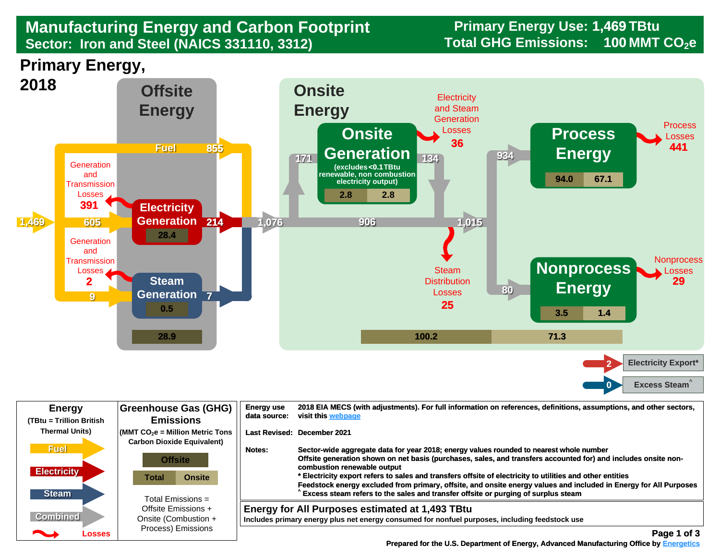## **Manufacturing Energy and Carbon Footprint Sector: Iron and Steel (NAICS 331110, 3312)**

**Primary Energy Use: 1,469 TBtu** Total GHG Emissions: 100 MMT CO<sub>2</sub>e

## **Primary Energy,**



| <b>Energy</b><br>(TBtu = Trillion British                                  | Greenhouse Gas (GHG)<br><b>Emissions</b>                                                                                                                                              | <b>Energy use</b><br>visit this webpage<br>data source:    | 2018 EIA MECS (with adjustments). For full information on references, definitions, assumptions, and other sectors,                                                                                                                                                                                                                                                                                                                                                                                                             |
|----------------------------------------------------------------------------|---------------------------------------------------------------------------------------------------------------------------------------------------------------------------------------|------------------------------------------------------------|--------------------------------------------------------------------------------------------------------------------------------------------------------------------------------------------------------------------------------------------------------------------------------------------------------------------------------------------------------------------------------------------------------------------------------------------------------------------------------------------------------------------------------|
| <b>Thermal Units)</b><br><b>Fuel</b><br><b>Electricity</b><br><b>Steam</b> | $\sqrt{\frac{1}{100}}$ (MMT CO <sub>2</sub> e = Million Metric Tons<br><b>Carbon Dioxide Equivalent)</b><br>Notes:<br><b>Offsite</b><br>Total<br><b>Onsite</b><br>Total Emissions $=$ | Last Revised: December 2021<br>combustion renewable output | Sector-wide aggregate data for year 2018; energy values rounded to nearest whole number<br>Offsite generation shown on net basis (purchases, sales, and transfers accounted for) and includes onsite non-<br>Electricity export refers to sales and transfers offsite of electricity to utilities and other entities<br>Feedstock energy excluded from primary, offsite, and onsite energy values and included in Energy for All Purposes<br>Excess steam refers to the sales and transfer offsite or purging of surplus steam |
| <b>Combined</b><br>Losses                                                  | Offsite Emissions +<br>Onsite (Combustion +<br>Process) Emissions                                                                                                                     | Energy for All Purposes estimated at 1,493 TBtu            | Includes primary energy plus net energy consumed for nonfuel purposes, including feedstock use<br>Page 1 of 3                                                                                                                                                                                                                                                                                                                                                                                                                  |

 **[Prepared for the U.S. Department of Energy, Advanced Manufacturing Office by Energetics](https://www.energetics.com/) Manufacturing Energetics**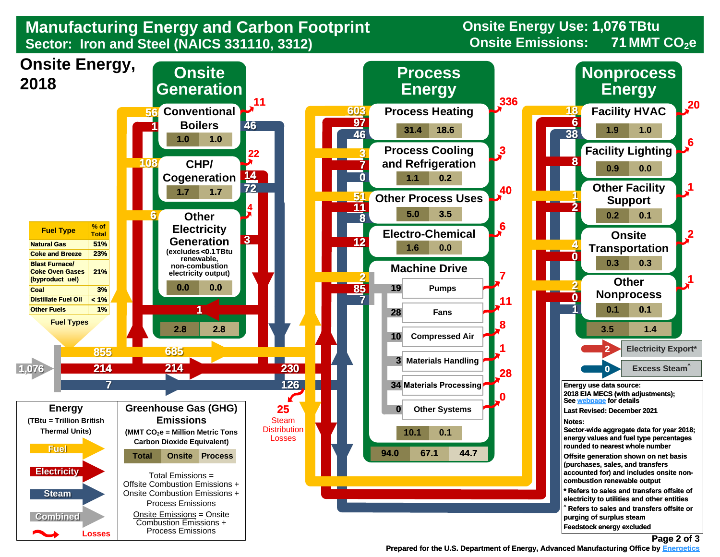

**Onsite Energy Use: 1,076 TBtu 71**